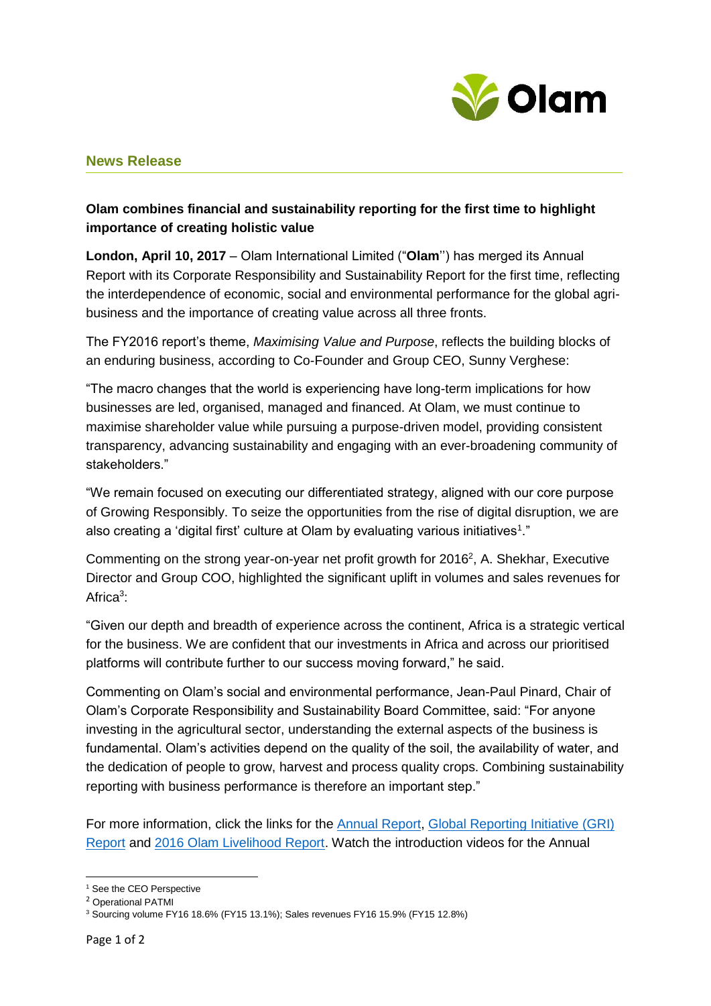

## **News Release**

# **Olam combines financial and sustainability reporting for the first time to highlight importance of creating holistic value**

**London, April 10, 2017** – Olam International Limited ("**Olam**'') has merged its Annual Report with its Corporate Responsibility and Sustainability Report for the first time, reflecting the interdependence of economic, social and environmental performance for the global agribusiness and the importance of creating value across all three fronts.

The FY2016 report's theme, *Maximising Value and Purpose*, reflects the building blocks of an enduring business, according to Co-Founder and Group CEO, Sunny Verghese:

"The macro changes that the world is experiencing have long-term implications for how businesses are led, organised, managed and financed. At Olam, we must continue to maximise shareholder value while pursuing a purpose-driven model, providing consistent transparency, advancing sustainability and engaging with an ever-broadening community of stakeholders."

"We remain focused on executing our differentiated strategy, aligned with our core purpose of Growing Responsibly. To seize the opportunities from the rise of digital disruption, we are also creating a 'digital first' culture at Olam by evaluating various initiatives<sup>1</sup>."

Commenting on the strong year-on-year net profit growth for  $2016^2$ , A. Shekhar, Executive Director and Group COO, highlighted the significant uplift in volumes and sales revenues for Africa<sup>3</sup>:

"Given our depth and breadth of experience across the continent, Africa is a strategic vertical for the business. We are confident that our investments in Africa and across our prioritised platforms will contribute further to our success moving forward," he said.

Commenting on Olam's social and environmental performance, Jean-Paul Pinard, Chair of Olam's Corporate Responsibility and Sustainability Board Committee, said: "For anyone investing in the agricultural sector, understanding the external aspects of the business is fundamental. Olam's activities depend on the quality of the soil, the availability of water, and the dedication of people to grow, harvest and process quality crops. Combining sustainability reporting with business performance is therefore an important step."

For more information, click the links for the [Annual Report,](http://olamgroup.com/wp-content/uploads/2017/04/Olam_Annual_Report_FY16.pdf) [Global Reporting Initiative \(GRI\)](http://49tmko49h46b4e0czy3rlqaye1b.wpengine.netdna-cdn.com/wp-content/uploads/2017/04/Olam-International-2016-GRI-Report-1.pdf)  [Report](http://49tmko49h46b4e0czy3rlqaye1b.wpengine.netdna-cdn.com/wp-content/uploads/2017/04/Olam-International-2016-GRI-Report-1.pdf) and [2016 Olam Livelihood Report.](http://49tmko49h46b4e0czy3rlqaye1b.wpengine.netdna-cdn.com/wp-content/uploads/2017/04/Olam-Livelihood-Charter-2016-Equipping-smallerholders-to-secure-their-future.pdf) Watch the introduction videos for the Annual

**<sup>.</sup>** <sup>1</sup> See the CEO Perspective

<sup>2</sup> Operational PATMI

<sup>3</sup> Sourcing volume FY16 18.6% (FY15 13.1%); Sales revenues FY16 15.9% (FY15 12.8%)